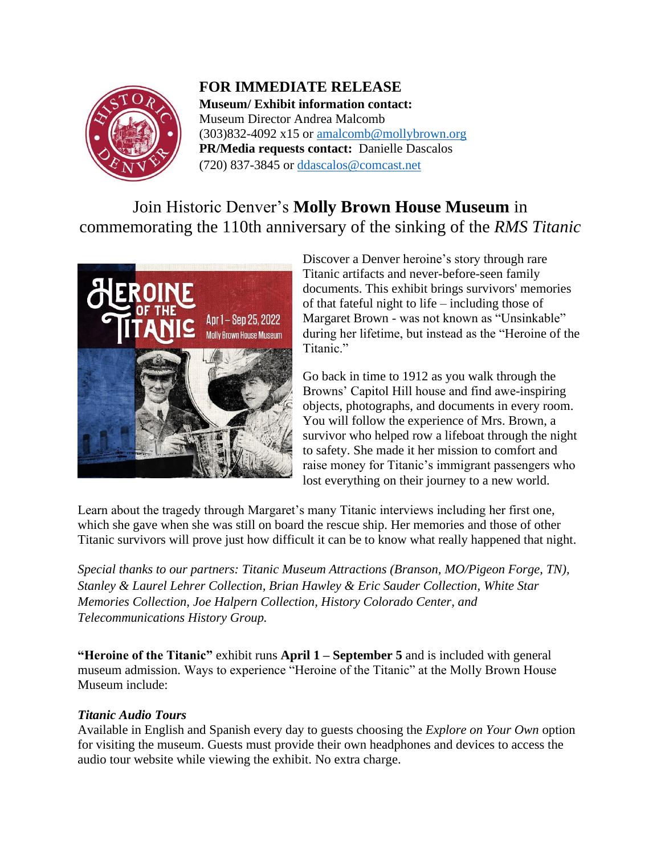

**FOR IMMEDIATE RELEASE Museum/ Exhibit information contact:** Museum Director Andrea Malcomb  $(303)832-4092 \times 15$  or [amalcomb@mollybrown.org](mailto:amalcomb@mollybrown.org) **PR/Media requests contact:** Danielle Dascalos (720) 837-3845 or [ddascalos@comcast.net](mailto:ddascalos@comcast.net)

## Join Historic Denver's **Molly Brown House Museum** in commemorating the 110th anniversary of the sinking of the *RMS Titanic*



Discover a Denver heroine's story through rare Titanic artifacts and never-before-seen family documents. This exhibit brings survivors' memories of that fateful night to life – including those of Margaret Brown - was not known as "Unsinkable" during her lifetime, but instead as the "Heroine of the Titanic<sup>"</sup>

Go back in time to 1912 as you walk through the Browns' Capitol Hill house and find awe-inspiring objects, photographs, and documents in every room. You will follow the experience of Mrs. Brown, a survivor who helped row a lifeboat through the night to safety. She made it her mission to comfort and raise money for Titanic's immigrant passengers who lost everything on their journey to a new world.

Learn about the tragedy through Margaret's many Titanic interviews including her first one, which she gave when she was still on board the rescue ship. Her memories and those of other Titanic survivors will prove just how difficult it can be to know what really happened that night.

*Special thanks to our partners: Titanic Museum Attractions (Branson, MO/Pigeon Forge, TN), Stanley & Laurel Lehrer Collection, Brian Hawley & Eric Sauder Collection, White Star Memories Collection, Joe Halpern Collection, History Colorado Center, and Telecommunications History Group.*

**"Heroine of the Titanic"** exhibit runs **April 1 – September 5** and is included with general museum admission. Ways to experience "Heroine of the Titanic" at the Molly Brown House Museum include:

### *Titanic Audio Tours*

Available in English and Spanish every day to guests choosing the *Explore on Your Own* option for visiting the museum. Guests must provide their own headphones and devices to access the audio tour website while viewing the exhibit. No extra charge.